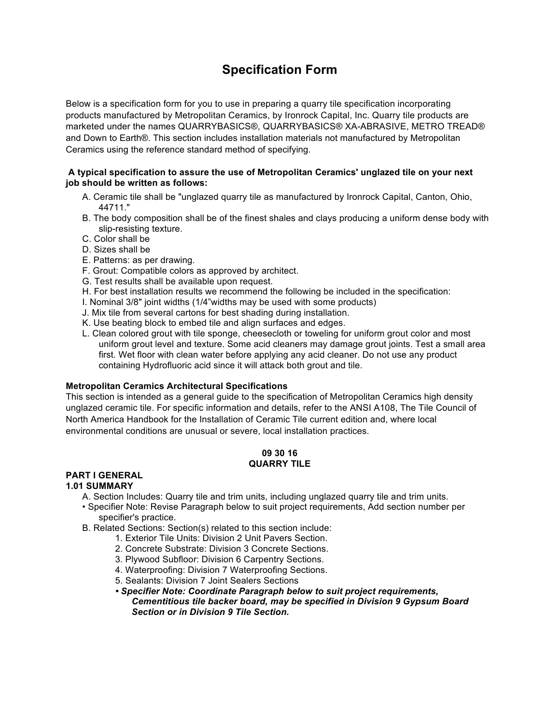# **Specification Form**

Below is a specification form for you to use in preparing a quarry tile specification incorporating products manufactured by Metropolitan Ceramics, by Ironrock Capital, Inc. Quarry tile products are marketed under the names QUARRYBASICS®, QUARRYBASICS® XA-ABRASIVE, METRO TREAD® and Down to Earth®. This section includes installation materials not manufactured by Metropolitan Ceramics using the reference standard method of specifying.

## **A typical specification to assure the use of Metropolitan Ceramics' unglazed tile on your next job should be written as follows:**

- A. Ceramic tile shall be "unglazed quarry tile as manufactured by Ironrock Capital, Canton, Ohio, 44711."
- B. The body composition shall be of the finest shales and clays producing a uniform dense body with slip-resisting texture.
- C. Color shall be
- D. Sizes shall be
- E. Patterns: as per drawing.
- F. Grout: Compatible colors as approved by architect.
- G. Test results shall be available upon request.
- H. For best installation results we recommend the following be included in the specification:
- I. Nominal 3/8" joint widths (1/4"widths may be used with some products)
- J. Mix tile from several cartons for best shading during installation.
- K. Use beating block to embed tile and align surfaces and edges.
- L. Clean colored grout with tile sponge, cheesecloth or toweling for uniform grout color and most uniform grout level and texture. Some acid cleaners may damage grout joints. Test a small area first. Wet floor with clean water before applying any acid cleaner. Do not use any product containing Hydrofluoric acid since it will attack both grout and tile.

#### **Metropolitan Ceramics Architectural Specifications**

This section is intended as a general guide to the specification of Metropolitan Ceramics high density unglazed ceramic tile. For specific information and details, refer to the ANSI A108, The Tile Council of North America Handbook for the Installation of Ceramic Tile current edition and, where local environmental conditions are unusual or severe, local installation practices.

#### **09 30 16 QUARRY TILE**

# **PART I GENERAL**

# **1.01 SUMMARY**

A. Section Includes: Quarry tile and trim units, including unglazed quarry tile and trim units.

- Specifier Note: Revise Paragraph below to suit project requirements, Add section number per specifier's practice.
- B. Related Sections: Section(s) related to this section include:
	- 1. Exterior Tile Units: Division 2 Unit Pavers Section.
	- 2. Concrete Substrate: Division 3 Concrete Sections.
	- 3. Plywood Subfloor: Division 6 Carpentry Sections.
	- 4. Waterproofing: Division 7 Waterproofing Sections.
	- 5. Sealants: Division 7 Joint Sealers Sections
	- *• Specifier Note: Coordinate Paragraph below to suit project requirements, Cementitious tile backer board, may be specified in Division 9 Gypsum Board Section or in Division 9 Tile Section.*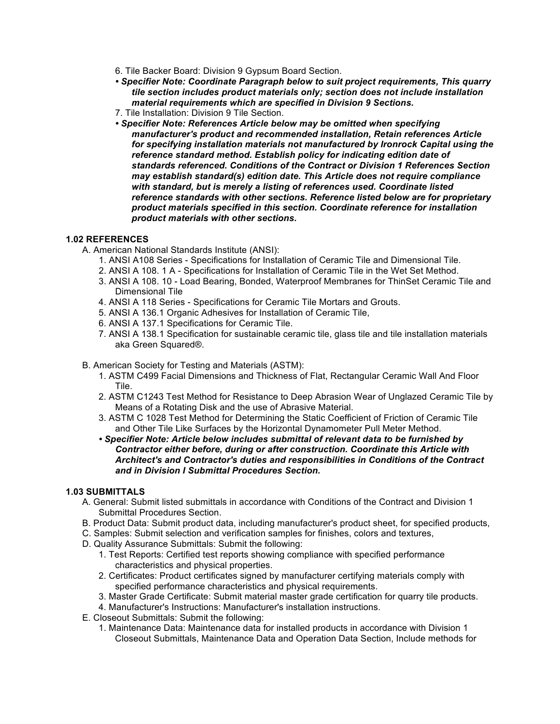- 6. Tile Backer Board: Division 9 Gypsum Board Section.
- *• Specifier Note: Coordinate Paragraph below to suit project requirements, This quarry tile section includes product materials only; section does not include installation material requirements which are specified in Division 9 Sections.*
- 7. Tile Installation: Division 9 Tile Section.
- *• Specifier Note: References Article below may be omitted when specifying manufacturer's product and recommended installation, Retain references Article for specifying installation materials not manufactured by Ironrock Capital using the reference standard method. Establish policy for indicating edition date of standards referenced. Conditions of the Contract or Division 1 References Section may establish standard(s) edition date. This Article does not require compliance with standard, but is merely a listing of references used. Coordinate listed reference standards with other sections. Reference listed below are for proprietary product materials specified in this section. Coordinate reference for installation product materials with other sections.*

#### **1.02 REFERENCES**

- A. American National Standards Institute (ANSI):
	- 1. ANSI A108 Series Specifications for Installation of Ceramic Tile and Dimensional Tile.
	- 2. ANSI A 108. 1 A Specifications for Installation of Ceramic Tile in the Wet Set Method.
	- 3. ANSI A 108. 10 Load Bearing, Bonded, Waterproof Membranes for ThinSet Ceramic Tile and Dimensional Tile
	- 4. ANSI A 118 Series Specifications for Ceramic Tile Mortars and Grouts.
	- 5. ANSI A 136.1 Organic Adhesives for Installation of Ceramic Tile,
	- 6. ANSI A 137.1 Specifications for Ceramic Tile.
	- 7. ANSI A 138.1 Specification for sustainable ceramic tile, glass tile and tile installation materials aka Green Squared®.
- B. American Society for Testing and Materials (ASTM):
	- 1. ASTM C499 Facial Dimensions and Thickness of Flat, Rectangular Ceramic Wall And Floor Tile.
	- 2. ASTM C1243 Test Method for Resistance to Deep Abrasion Wear of Unglazed Ceramic Tile by Means of a Rotating Disk and the use of Abrasive Material.
	- 3. ASTM C 1028 Test Method for Determining the Static Coefficient of Friction of Ceramic Tile and Other Tile Like Surfaces by the Horizontal Dynamometer Pull Meter Method.
	- *• Specifier Note: Article below includes submittal of relevant data to be furnished by Contractor either before, during or after construction. Coordinate this Article with Architect's and Contractor's duties and responsibilities in Conditions of the Contract and in Division I Submittal Procedures Section.*

## **1.03 SUBMITTALS**

- A. General: Submit listed submittals in accordance with Conditions of the Contract and Division 1 Submittal Procedures Section.
- B. Product Data: Submit product data, including manufacturer's product sheet, for specified products,
- C. Samples: Submit selection and verification samples for finishes, colors and textures,
- D. Quality Assurance Submittals: Submit the following:
	- 1. Test Reports: Certified test reports showing compliance with specified performance characteristics and physical properties.
	- 2. Certificates: Product certificates signed by manufacturer certifying materials comply with specified performance characteristics and physical requirements.
	- 3. Master Grade Certificate: Submit material master grade certification for quarry tile products.
	- 4. Manufacturer's Instructions: Manufacturer's installation instructions.
- E. Closeout Submittals: Submit the following:
	- 1. Maintenance Data: Maintenance data for installed products in accordance with Division 1 Closeout Submittals, Maintenance Data and Operation Data Section, Include methods for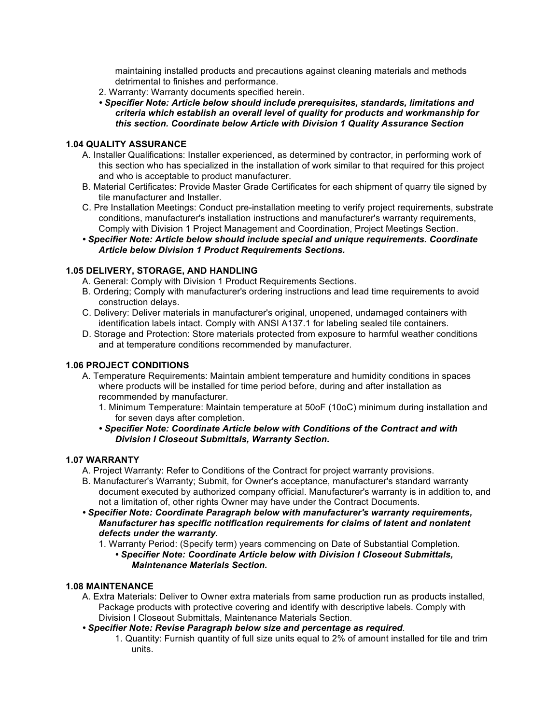maintaining installed products and precautions against cleaning materials and methods detrimental to finishes and performance.

- 2. Warranty: Warranty documents specified herein.
- *• Specifier Note: Article below should include prerequisites, standards, limitations and criteria which establish an overall level of quality for products and workmanship for this section. Coordinate below Article with Division 1 Quality Assurance Section*

## **1.04 QUALITY ASSURANCE**

- A. Installer Qualifications: Installer experienced, as determined by contractor, in performing work of this section who has specialized in the installation of work similar to that required for this project and who is acceptable to product manufacturer.
- B. Material Certificates: Provide Master Grade Certificates for each shipment of quarry tile signed by tile manufacturer and Installer.
- C. Pre Installation Meetings: Conduct pre-installation meeting to verify project requirements, substrate conditions, manufacturer's installation instructions and manufacturer's warranty requirements, Comply with Division 1 Project Management and Coordination, Project Meetings Section.
- *• Specifier Note: Article below should include special and unique requirements. Coordinate Article below Division 1 Product Requirements Sections.*

## **1.05 DELIVERY, STORAGE, AND HANDLING**

- A. General: Comply with Division 1 Product Requirements Sections.
- B. Ordering; Comply with manufacturer's ordering instructions and lead time requirements to avoid construction delays.
- C. Delivery: Deliver materials in manufacturer's original, unopened, undamaged containers with identification labels intact. Comply with ANSI A137.1 for labeling sealed tile containers.
- D. Storage and Protection: Store materials protected from exposure to harmful weather conditions and at temperature conditions recommended by manufacturer.

## **1.06 PROJECT CONDITIONS**

- A. Temperature Requirements: Maintain ambient temperature and humidity conditions in spaces where products will be installed for time period before, during and after installation as recommended by manufacturer.
	- 1. Minimum Temperature: Maintain temperature at 50oF (10oC) minimum during installation and for seven days after completion.
	- *• Specifier Note: Coordinate Article below with Conditions of the Contract and with Division I Closeout Submittals, Warranty Section.*

#### **1.07 WARRANTY**

- A. Project Warranty: Refer to Conditions of the Contract for project warranty provisions.
- B. Manufacturer's Warranty; Submit, for Owner's acceptance, manufacturer's standard warranty document executed by authorized company official. Manufacturer's warranty is in addition to, and not a limitation of, other rights Owner may have under the Contract Documents.
- *• Specifier Note: Coordinate Paragraph below with manufacturer's warranty requirements, Manufacturer has specific notification requirements for claims of latent and nonlatent defects under the warranty.*

1. Warranty Period: (Specify term) years commencing on Date of Substantial Completion. *• Specifier Note: Coordinate Article below with Division I Closeout Submittals, Maintenance Materials Section.* 

#### **1.08 MAINTENANCE**

- A. Extra Materials: Deliver to Owner extra materials from same production run as products installed, Package products with protective covering and identify with descriptive labels. Comply with Division I Closeout Submittals, Maintenance Materials Section.
- *• Specifier Note: Revise Paragraph below size and percentage as required*.
	- 1. Quantity: Furnish quantity of full size units equal to 2% of amount installed for tile and trim units.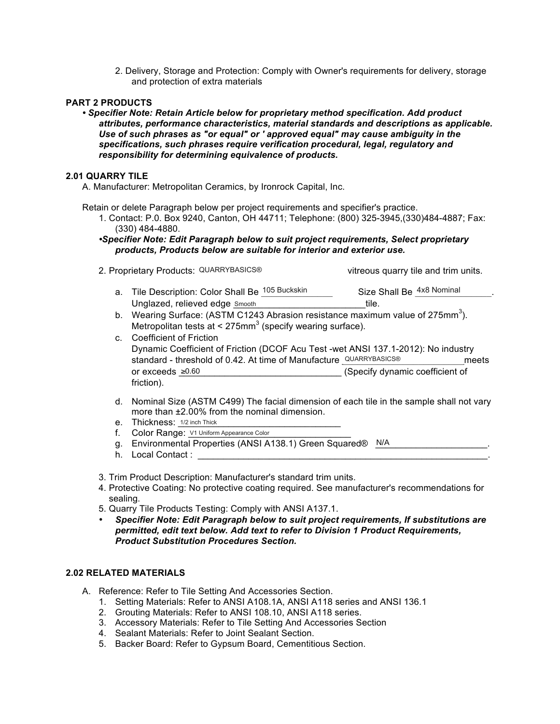2. Delivery, Storage and Protection: Comply with Owner's requirements for delivery, storage and protection of extra materials

# **PART 2 PRODUCTS**

*• Specifier Note: Retain Article below for proprietary method specification. Add product attributes, performance characteristics, material standards and descriptions as applicable. Use of such phrases as "or equal" or ' approved equal" may cause ambiguity in the specifications, such phrases require verification procedural, legal, regulatory and responsibility for determining equivalence of products.* 

#### **2.01 QUARRY TILE**

A. Manufacturer: Metropolitan Ceramics, by Ironrock Capital, Inc.

Retain or delete Paragraph below per project requirements and specifier's practice.

- 1. Contact: P.0. Box 9240, Canton, OH 44711; Telephone: (800) 325-3945,(330)484-4887; Fax: (330) 484-4880.
- *•Specifier Note: Edit Paragraph below to suit project requirements, Select proprietary products, Products below are suitable for interior and exterior use.*
- 2. Proprietary Products: QUARRYBASICS® vitreous quarry tile and trim units.

- a. Tile Description: Color Shall Be <sup>105 Buckskin</sup> Size Shall Be <sup>4x8</sup> Nominal Unglazed, relieved edge \_\_\_\_\_\_\_\_\_\_\_\_\_\_\_\_\_\_\_\_\_\_\_\_\_\_tile. Smooth QUARRYBASICS®
- b. Wearing Surface: (ASTM C1243 Abrasion resistance maximum value of 275mm<sup>3</sup>). Metropolitan tests at < 275mm<sup>3</sup> (specify wearing surface).
- c. Coefficient of Friction Dynamic Coefficient of Friction (DCOF Acu Test -wet ANSI 137.1-2012): No industry standard - threshold of 0.42. At time of Manufacture QUARRYBASICS® meets or exceeds ≥0.60 **biggering** (Specify dynamic coefficient of friction). Size Shall Be  $\frac{4\times8$  Nominal<br>tile.<br>Abrasion resistance maximum value of 275mm<sup>3</sup><br>(specify wearing surface).<br>DCOF Acu Test -wet ANSI 137.1-2012): No indus<br>time of Manufacture QUARRYBASICS®
- d. Nominal Size (ASTM C499) The facial dimension of each tile in the sample shall not vary more than ±2.00% from the nominal dimension.
- e. Thickness: 1/2 inch Thick **Example 2018**
- f. Color Range: <u>V1 Uniform Appearance Color</u>
- g. Environmental Properties (ANSI A138.1) Green Squared® \_ N/A \_ \_ \_ \_ \_ \_ \_ \_ \_ \_ \_ \_ \_ \_
- h. Local Contact :
- 3. Trim Product Description: Manufacturer's standard trim units.
- 4. Protective Coating: No protective coating required. See manufacturer's recommendations for sealing.
- 5. Quarry Tile Products Testing: Comply with ANSI A137.1.
- *Specifier Note: Edit Paragraph below to suit project requirements, If substitutions are permitted, edit text below. Add text to refer to Division 1 Product Requirements, Product Substitution Procedures Section.*

# **2.02 RELATED MATERIALS**

- A. Reference: Refer to Tile Setting And Accessories Section.
	- 1. Setting Materials: Refer to ANSI A108.1A, ANSI A118 series and ANSI 136.1
	- 2. Grouting Materials: Refer to ANSI 108.10, ANSI A118 series.
	- 3. Accessory Materials: Refer to Tile Setting And Accessories Section
	- 4. Sealant Materials: Refer to Joint Sealant Section.
	- 5. Backer Board: Refer to Gypsum Board, Cementitious Section.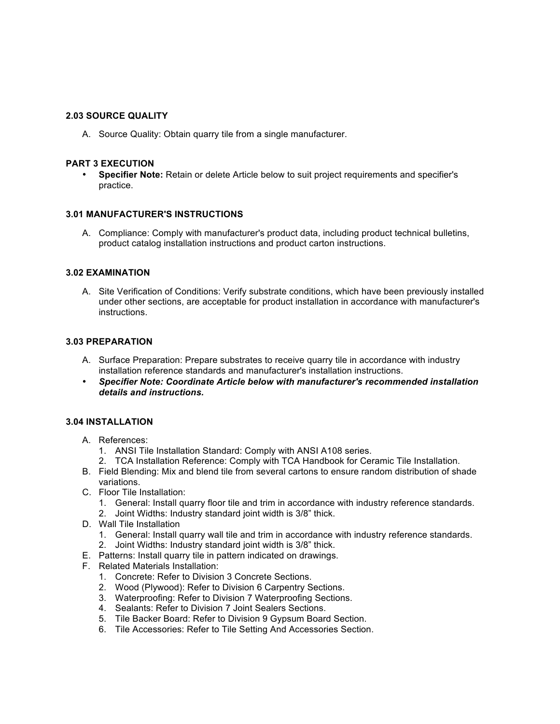## **2.03 SOURCE QUALITY**

A. Source Quality: Obtain quarry tile from a single manufacturer.

## **PART 3 EXECUTION**

• **Specifier Note:** Retain or delete Article below to suit project requirements and specifier's practice.

## **3.01 MANUFACTURER'S INSTRUCTIONS**

A. Compliance: Comply with manufacturer's product data, including product technical bulletins, product catalog installation instructions and product carton instructions.

#### **3.02 EXAMINATION**

A. Site Verification of Conditions: Verify substrate conditions, which have been previously installed under other sections, are acceptable for product installation in accordance with manufacturer's instructions.

# **3.03 PREPARATION**

- A. Surface Preparation: Prepare substrates to receive quarry tile in accordance with industry installation reference standards and manufacturer's installation instructions.
- *Specifier Note: Coordinate Article below with manufacturer's recommended installation details and instructions.*

## **3.04 INSTALLATION**

- A. References:
	- 1. ANSI Tile Installation Standard: Comply with ANSI A108 series.
	- 2. TCA Installation Reference: Comply with TCA Handbook for Ceramic Tile Installation.
- B. Field Blending: Mix and blend tile from several cartons to ensure random distribution of shade variations.
- C. Floor Tile Installation:
	- 1. General: Install quarry floor tile and trim in accordance with industry reference standards.
	- 2. Joint Widths: Industry standard joint width is 3/8" thick.
- D. Wall Tile Installation
	- 1. General: Install quarry wall tile and trim in accordance with industry reference standards.
	- 2. Joint Widths: Industry standard joint width is 3/8" thick.
- E. Patterns: Install quarry tile in pattern indicated on drawings.
- F. Related Materials Installation:
	- 1. Concrete: Refer to Division 3 Concrete Sections.
	- 2. Wood (Plywood): Refer to Division 6 Carpentry Sections.
	- 3. Waterproofing: Refer to Division 7 Waterproofing Sections.
	- 4. Sealants: Refer to Division 7 Joint Sealers Sections.
	- 5. Tile Backer Board: Refer to Division 9 Gypsum Board Section.
	- 6. Tile Accessories: Refer to Tile Setting And Accessories Section.